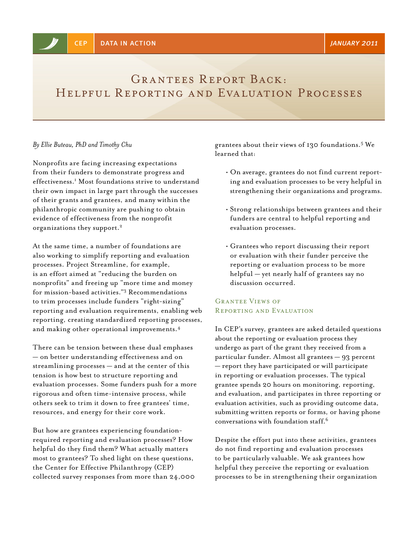# GRANTEES REPORT BACK: Helpful Reporting and Evaluation Processes

#### *By Ellie Buteau, PhD and Timothy Chu*

Nonprofits are facing increasing expectations from their funders to demonstrate progress and effectiveness.1 Most foundations strive to understand their own impact in large part through the successes of their grants and grantees, and many within the philanthropic community are pushing to obtain evidence of effectiveness from the nonprofit organizations they support.2

At the same time, a number of foundations are also working to simplify reporting and evaluation processes. Project Streamline, for example, is an effort aimed at "reducing the burden on nonprofits" and freeing up "more time and money for mission-based activities."3 Recommendations to trim processes include funders "right-sizing" reporting and evaluation requirements, enabling web reporting, creating standardized reporting processes, and making other operational improvements.4

There can be tension between these dual emphases — on better understanding effectiveness and on streamlining processes — and at the center of this tension is how best to structure reporting and evaluation processes. Some funders push for a more rigorous and often time-intensive process, while others seek to trim it down to free grantees' time, resources, and energy for their core work.

But how are grantees experiencing foundationrequired reporting and evaluation processes? How helpful do they find them? What actually matters most to grantees? To shed light on these questions, the Center for Effective Philanthropy (CEP) collected survey responses from more than 24,000 grantees about their views of 130 foundations.5 We learned that:

- On average, grantees do not find current reporting and evaluation processes to be very helpful in strengthening their organizations and programs.
- Strong relationships between grantees and their funders are central to helpful reporting and evaluation processes.
- Grantees who report discussing their report or evaluation with their funder perceive the reporting or evaluation process to be more helpful — yet nearly half of grantees say no discussion occurred.

# Grantee Views of Reporting and Evaluation

In CEP's survey, grantees are asked detailed questions about the reporting or evaluation process they undergo as part of the grant they received from a particular funder. Almost all grantees — 93 percent — report they have participated or will participate in reporting or evaluation processes. The typical grantee spends 20 hours on monitoring, reporting, and evaluation, and participates in three reporting or evaluation activities, such as providing outcome data, submitting written reports or forms, or having phone conversations with foundation staff.6

Despite the effort put into these activities, grantees do not find reporting and evaluation processes to be particularly valuable. We ask grantees how helpful they perceive the reporting or evaluation processes to be in strengthening their organization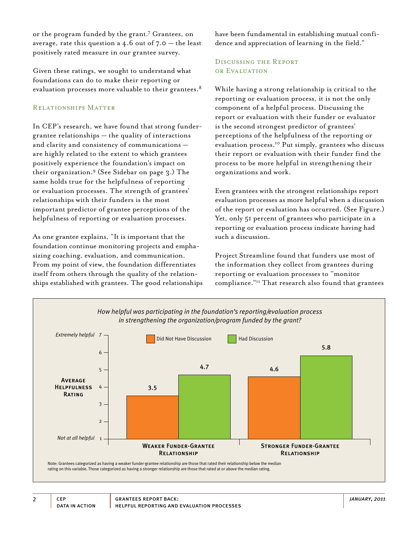or the program funded by the grant.7 Grantees, on average, rate this question a  $4.6$  out of  $7.0$  – the least positively rated measure in our grantee survey.

Given these ratings, we sought to understand what foundations can do to make their reporting or evaluation processes more valuable to their grantees.<sup>8</sup>

#### Relationships Matter

In CEP's research, we have found that strong fundergrantee relationships — the quality of interactions and clarity and consistency of communications are highly related to the extent to which grantees positively experience the foundation's impact on their organization.9 (See Sidebar on page 3.) The same holds true for the helpfulness of reporting or evaluation processes. The strength of grantees' relationships with their funders is the most important predictor of grantee perceptions of the helpfulness of reporting or evaluation processes.

As one grantee explains, "It is important that the foundation continue monitoring projects and emphasizing coaching, evaluation, and communication. From my point of view, the foundation differentiates itself from others through the quality of the relationships established with grantees. The good relationships have been fundamental in establishing mutual confidence and appreciation of learning in the field."

# Discussing the Report or Evaluation

While having a strong relationship is critical to the reporting or evaluation process, it is not the only component of a helpful process. Discussing the report or evaluation with their funder or evaluator is the second strongest predictor of grantees' perceptions of the helpfulness of the reporting or evaluation process.10 Put simply, grantees who discuss their report or evaluation with their funder find the process to be more helpful in strengthening their organizations and work.

Even grantees with the strongest relationships report evaluation processes as more helpful when a discussion of the report or evaluation has occurred. (See Figure.) Yet, only 51 percent of grantees who participate in a reporting or evaluation process indicate having had such a discussion.

Project Streamline found that funders use most of the information they collect from grantees during reporting or evaluation processes to "monitor compliance."11 That research also found that grantees

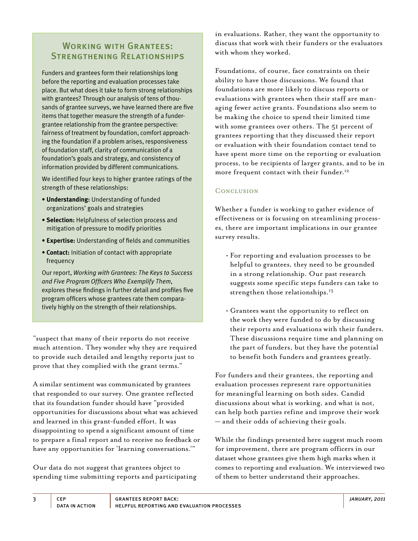# Working with Grantees: Strengthening Relationships

Funders and grantees form their relationships long before the reporting and evaluation processes take place. But what does it take to form strong relationships with grantees? Through our analysis of tens of thousands of grantee surveys, we have learned there are five items that together measure the strength of a fundergrantee relationship from the grantee perspective: fairness of treatment by foundation, comfort approaching the foundation if a problem arises, responsiveness of foundation staff, clarity of communication of a foundation's goals and strategy, and consistency of information provided by different communications.

We identified four keys to higher grantee ratings of the strength of these relationships:

- **Understanding:** Understanding of funded organizations' goals and strategies
- **Selection:** Helpfulness of selection process and mitigation of pressure to modify priorities
- **Expertise:** Understanding of fields and communities
- **Contact:** Initiation of contact with appropriate frequency

Our report, *Working with Grantees: The Keys to Success and Five Program Officers Who Exemplify Them*, explores these findings in further detail and profiles five program officers whose grantees rate them comparatively highly on the strength of their relationships.

"suspect that many of their reports do not receive much attention. They wonder why they are required to provide such detailed and lengthy reports just to prove that they complied with the grant terms."

A similar sentiment was communicated by grantees that responded to our survey. One grantee reflected that its foundation funder should have "provided opportunities for discussions about what was achieved and learned in this grant-funded effort. It was disappointing to spend a significant amount of time to prepare a final report and to receive no feedback or have any opportunities for 'learning conversations.'"

Our data do not suggest that grantees object to spending time submitting reports and participating in evaluations. Rather, they want the opportunity to discuss that work with their funders or the evaluators with whom they worked.

Foundations, of course, face constraints on their ability to have those discussions. We found that foundations are more likely to discuss reports or evaluations with grantees when their staff are managing fewer active grants. Foundations also seem to be making the choice to spend their limited time with some grantees over others. The 51 percent of grantees reporting that they discussed their report or evaluation with their foundation contact tend to have spent more time on the reporting or evaluation process, to be recipients of larger grants, and to be in more frequent contact with their funder.<sup>12</sup>

# **CONCLUSION**

Whether a funder is working to gather evidence of effectiveness or is focusing on streamlining processes, there are important implications in our grantee survey results.

- For reporting and evaluation processes to be helpful to grantees, they need to be grounded in a strong relationship. Our past research suggests some specific steps funders can take to strengthen those relationships.<sup>13</sup>
- Grantees want the opportunity to reflect on the work they were funded to do by discussing their reports and evaluations with their funders. These discussions require time and planning on the part of funders, but they have the potential to benefit both funders and grantees greatly.

For funders and their grantees, the reporting and evaluation processes represent rare opportunities for meaningful learning on both sides. Candid discussions about what is working, and what is not, can help both parties refine and improve their work — and their odds of achieving their goals.

While the findings presented here suggest much room for improvement, there are program officers in our dataset whose grantees give them high marks when it comes to reporting and evaluation. We interviewed two of them to better understand their approaches.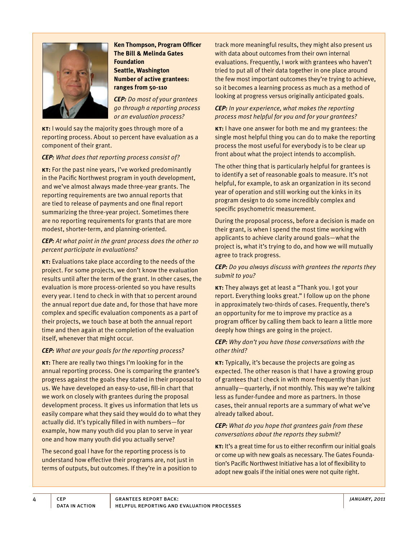

**Ken Thompson, Program Officer The Bill & Melinda Gates Foundation Seattle, Washington Number of active grantees: ranges from 50-110**

*CEP: Do most of your grantees go through a reporting process or an evaluation process?*

**kT:** I would say the majority goes through more of a reporting process. About 10 percent have evaluation as a component of their grant.

#### *CEP: What does that reporting process consist of?*

**KT:** For the past nine years, I've worked predominantly in the Pacific Northwest program in youth development, and we've almost always made three-year grants. The reporting requirements are two annual reports that are tied to release of payments and one final report summarizing the three-year project. Sometimes there are no reporting requirements for grants that are more modest, shorter-term, and planning-oriented.

# *CEP: At what point in the grant process does the other 10 percent participate in evaluations?*

**kt:** Evaluations take place according to the needs of the project. For some projects, we don't know the evaluation results until after the term of the grant. In other cases, the evaluation is more process-oriented so you have results every year. I tend to check in with that 10 percent around the annual report due date and, for those that have more complex and specific evaluation components as a part of their projects, we touch base at both the annual report time and then again at the completion of the evaluation itself, whenever that might occur.

# *CEP: What are your goals for the reporting process?*

**kt:** There are really two things I'm looking for in the annual reporting process. One is comparing the grantee's progress against the goals they stated in their proposal to us. We have developed an easy-to-use, fill-in chart that we work on closely with grantees during the proposal development process. It gives us information that lets us easily compare what they said they would do to what they actually did. It's typically filled in with numbers—for example, how many youth did you plan to serve in year one and how many youth did you actually serve?

The second goal I have for the reporting process is to understand how effective their programs are, not just in terms of outputs, but outcomes. If they're in a position to track more meaningful results, they might also present us with data about outcomes from their own internal evaluations. Frequently, I work with grantees who haven't tried to put all of their data together in one place around the few most important outcomes they're trying to achieve, so it becomes a learning process as much as a method of looking at progress versus originally anticipated goals.

# *CEP: In your experience, what makes the reporting process most helpful for you and for your grantees?*

**kt:** I have one answer for both me and my grantees: the single most helpful thing you can do to make the reporting process the most useful for everybody is to be clear up front about what the project intends to accomplish.

The other thing that is particularly helpful for grantees is to identify a set of reasonable goals to measure. It's not helpful, for example, to ask an organization in its second year of operation and still working out the kinks in its program design to do some incredibly complex and specific psychometric measurement.

During the proposal process, before a decision is made on their grant, is when I spend the most time working with applicants to achieve clarity around goals—what the project is, what it's trying to do, and how we will mutually agree to track progress.

#### *CEP: Do you always discuss with grantees the reports they submit to you?*

**kt:** They always get at least a "Thank you. I got your report. Everything looks great." I follow up on the phone in approximately two-thirds of cases. Frequently, there's an opportunity for me to improve my practice as a program officer by calling them back to learn a little more deeply how things are going in the project.

#### *CEP: Why don't you have those conversations with the other third?*

**kt:** Typically, it's because the projects are going as expected. The other reason is that I have a growing group of grantees that I check in with more frequently than just annually—quarterly, if not monthly. This way we're talking less as funder-fundee and more as partners. In those cases, their annual reports are a summary of what we've already talked about.

#### *CEP: What do you hope that grantees gain from these conversations about the reports they submit?*

**KT:** It's a great time for us to either reconfirm our initial goals or come up with new goals as necessary. The Gates Foundation's Pacific Northwest Initiative has a lot of flexibility to adopt new goals if the initial ones were not quite right.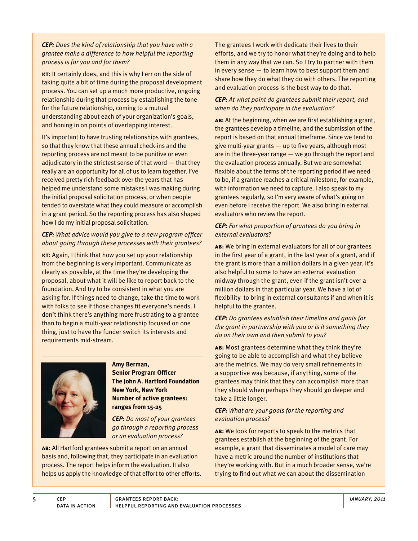*CEP: Does the kind of relationship that you have with a grantee make a difference to how helpful the reporting process is for you and for them?*

**KT:** It certainly does, and this is why I err on the side of taking quite a bit of time during the proposal development process. You can set up a much more productive, ongoing relationship during that process by establishing the tone for the future relationship, coming to a mutual understanding about each of your organization's goals, and honing in on points of overlapping interest.

It's important to have trusting relationships with grantees, so that they know that these annual check-ins and the reporting process are not meant to be punitive or even adjudicatory in the strictest sense of that word  $-$  that they really are an opportunity for all of us to learn together. I've received pretty rich feedback over the years that has helped me understand some mistakes I was making during the initial proposal solicitation process, or when people tended to overstate what they could measure or accomplish in a grant period. So the reporting process has also shaped how I do my initial proposal solicitation.

# *CEP: What advice would you give to a new program officer about going through these processes with their grantees?*

**kt:** Again, I think that how you set up your relationship from the beginning is very important. Communicate as clearly as possible, at the time they're developing the proposal, about what it will be like to report back to the foundation. And try to be consistent in what you are asking for. If things need to change, take the time to work with folks to see if those changes fit everyone's needs. I don't think there's anything more frustrating to a grantee than to begin a multi-year relationship focused on one thing, just to have the funder switch its interests and requirements mid-stream.



#### **Amy Berman,**

**Senior Program Officer The John A. Hartford Foundation New York, New York Number of active grantees: ranges from 15-25**

*CEP: Do most of your grantees go through a reporting process or an evaluation process?*

**ab:** All Hartford grantees submit a report on an annual basis and, following that, they participate in an evaluation process. The report helps inform the evaluation. It also helps us apply the knowledge of that effort to other efforts. The grantees I work with dedicate their lives to their efforts, and we try to honor what they're doing and to help them in any way that we can. So I try to partner with them in every sense — to learn how to best support them and share how they do what they do with others. The reporting and evaluation process is the best way to do that.

#### *CEP: At what point do grantees submit their report, and when do they participate in the evaluation?*

**ab:** At the beginning, when we are first establishing a grant, the grantees develop a timeline, and the submission of the report is based on that annual timeframe. Since we tend to give multi-year grants  $-$  up to five years, although most are in the three-year range — we go through the report and the evaluation process annually. But we are somewhat flexible about the terms of the reporting period if we need to be, if a grantee reaches a critical milestone, for example, with information we need to capture. I also speak to my grantees regularly, so I'm very aware of what's going on even before I receive the report. We also bring in external evaluators who review the report.

# *CEP: For what proportion of grantees do you bring in external evaluators?*

**ab:** We bring in external evaluators for all of our grantees in the first year of a grant, in the last year of a grant, and if the grant is more than a million dollars in a given year. It's also helpful to some to have an external evaluation midway through the grant, even if the grant isn't over a million dollars in that particular year. We have a lot of flexibility to bring in external consultants if and when it is helpful to the grantee.

#### *CEP: Do grantees establish their timeline and goals for the grant in partnership with you or is it something they do on their own and then submit to you?*

**ab:** Most grantees determine what they think they're going to be able to accomplish and what they believe are the metrics. We may do very small refinements in a supportive way because, if anything, some of the grantees may think that they can accomplish more than they should when perhaps they should go deeper and take a little longer.

# *CEP: What are your goals for the reporting and evaluation process?*

**ab:** We look for reports to speak to the metrics that grantees establish at the beginning of the grant. For example, a grant that disseminates a model of care may have a metric around the number of institutions that they're working with. But in a much broader sense, we're trying to find out what we can about the dissemination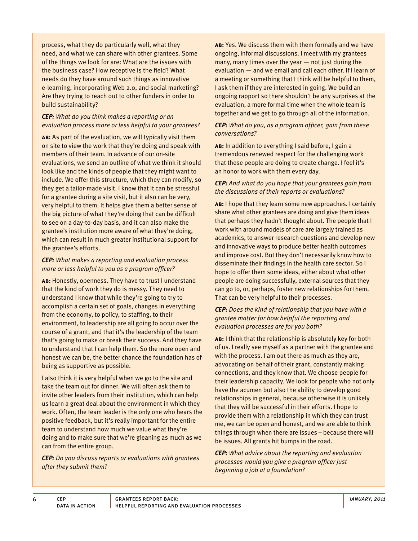process, what they do particularly well, what they need, and what we can share with other grantees. Some of the things we look for are: What are the issues with the business case? How receptive is the field? What needs do they have around such things as innovative e-learning, incorporating Web 2.0, and social marketing? Are they trying to reach out to other funders in order to build sustainability?

# *CEP: What do you think makes a reporting or an evaluation process more or less helpful to your grantees?*

**ab:** As part of the evaluation, we will typically visit them on site to view the work that they're doing and speak with members of their team. In advance of our on-site evaluations, we send an outline of what we think it should look like and the kinds of people that they might want to include. We offer this structure, which they can modify, so they get a tailor-made visit. I know that it can be stressful for a grantee during a site visit, but it also can be very, very helpful to them. It helps give them a better sense of the big picture of what they're doing that can be difficult to see on a day-to-day basis, and it can also make the grantee's institution more aware of what they're doing, which can result in much greater institutional support for the grantee's efforts.

# *CEP: What makes a reporting and evaluation process more or less helpful to you as a program officer?*

**ab:** Honestly, openness. They have to trust I understand that the kind of work they do is messy. They need to understand I know that while they're going to try to accomplish a certain set of goals, changes in everything from the economy, to policy, to staffing, to their environment, to leadership are all going to occur over the course of a grant, and that it's the leadership of the team that's going to make or break their success. And they have to understand that I can help them. So the more open and honest we can be, the better chance the foundation has of being as supportive as possible.

I also think it is very helpful when we go to the site and take the team out for dinner. We will often ask them to invite other leaders from their institution, which can help us learn a great deal about the environment in which they work. Often, the team leader is the only one who hears the positive feedback, but it's really important for the entire team to understand how much we value what they're doing and to make sure that we're gleaning as much as we can from the entire group.

*CEP: Do you discuss reports or evaluations with grantees after they submit them?*

**ab:** Yes. We discuss them with them formally and we have ongoing, informal discussions. I meet with my grantees many, many times over the year  $-$  not just during the evaluation — and we email and call each other. If I learn of a meeting or something that I think will be helpful to them, I ask them if they are interested in going. We build an ongoing rapport so there shouldn't be any surprises at the evaluation, a more formal time when the whole team is together and we get to go through all of the information.

# *CEP: What do you, as a program officer, gain from these conversations?*

**ab:** In addition to everything I said before, I gain a tremendous renewed respect for the challenging work that these people are doing to create change. I feel it's an honor to work with them every day.

# *CEP: And what do you hope that your grantees gain from the discussions of their reports or evaluations?*

**ab:** I hope that they learn some new approaches. I certainly share what other grantees are doing and give them ideas that perhaps they hadn't thought about. The people that I work with around models of care are largely trained as academics, to answer research questions and develop new and innovative ways to produce better health outcomes and improve cost. But they don't necessarily know how to disseminate their findings in the health care sector. So I hope to offer them some ideas, either about what other people are doing successfully, external sources that they can go to, or, perhaps, foster new relationships for them. That can be very helpful to their processes.

#### *CEP: Does the kind of relationship that you have with a grantee matter for how helpful the reporting and evaluation processes are for you both?*

**ab:** I think that the relationship is absolutely key for both of us. I really see myself as a partner with the grantee and with the process. I am out there as much as they are, advocating on behalf of their grant, constantly making connections, and they know that. We choose people for their leadership capacity. We look for people who not only have the acumen but also the ability to develop good relationships in general, because otherwise it is unlikely that they will be successful in their efforts. I hope to provide them with a relationship in which they can trust me, we can be open and honest, and we are able to think things through when there are issues – because there will be issues. All grants hit bumps in the road.

*CEP: What advice about the reporting and evaluation processes would you give a program officer just beginning a job at a foundation?*